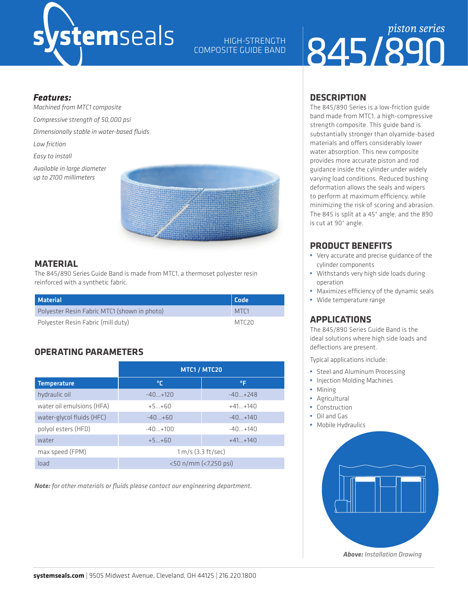# *s*temseals

HIGH-STRENGTH COMPOSITE GUIDE BAND

### 845/890 *piston series*

#### *Features:*

*Machined from MTC1 composite Compressive strength of 50,000 psi Dimensionally stable in water-based fluids Low friction Easy to install Available in large diameter up to 2100 millimeters*



#### **MATERIAL**

The 845/890 Series Guide Band is made from MTC1, a thermoset polyester resin reinforced with a synthetic fabric.

| <b>Material</b>                              | Code              |  |
|----------------------------------------------|-------------------|--|
| Polyester Resin Fabric MTC1 (shown in photo) | MTC <sub>1</sub>  |  |
| Polyester Resin Fabric (mill duty)           | MTC <sub>20</sub> |  |

#### **OPERATING PARAMETERS**

|                           | MTC1 / MTC20          |             |  |  |
|---------------------------|-----------------------|-------------|--|--|
| Temperature               | ℃                     | °F          |  |  |
| hydraulic oil             | $-40+120$             | $-40+248$   |  |  |
| water oil emulsions (HFA) | $+5+60$               | $+41+140$   |  |  |
| water-glycol fluids (HFC) | $-40+60$              | $-40+140$   |  |  |
| polyol esters (HFD)       | $-40+100$             | $-40 + 140$ |  |  |
| water                     | $+5+60$               | $+41+140$   |  |  |
| max speed (FPM)           | $1 m/s$ (3.3 ft/sec)  |             |  |  |
| load                      | <50 n/mm (<7,250 psi) |             |  |  |

*Note: for other materials or fluids please contact our engineering department.*

#### **DESCRIPTION**

The 845/890 Series is a low-friction guide band made from MTC1, a high-compressive strength composite. This guide band is substantially stronger than olyamide-based materials and offers considerably lower water absorption. This new composite provides more accurate piston and rod guidance inside the cylinder under widely varying load conditions. Reduced bushing deformation allows the seals and wipers to perform at maximum efficiency, while minimizing the risk of scoring and abrasion. The 845 is split at a 45° angle, and the 890 is cut at 90° angle.

#### **PRODUCT BENEFITS**

- **•** Very accurate and precise guidance of the cylinder components
- **•** Withstands very high side loads during operation
- **•** Maximizes efficiency of the dynamic seals
- **•** Wide temperature range

#### **APPLICATIONS**

The 845/890 Series Guide Band is the ideal solutions where high side loads and deflections are present.

Typical applications include:

- **•** Steel and Aluminum Processing
- **•** Injection Molding Machines
- **•** Mining
- **•** Agricultural
- **•** Construction
- **•** Oil and Gas
- **•** Mobile Hydraulics



**Above:** Installation Drawing